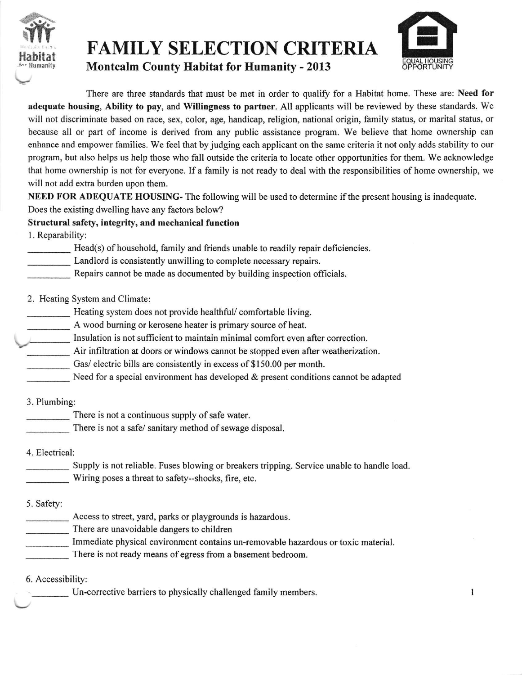

## FAMILY SELECTION CRITERIA

Montcalm County Habitat for Humanity - 2013



I

There are three standards that must be met in order to qualify for a Habitat home. These are: Need for adequate housing, Ability to pay, and Willingness to partner. All applicants will be reviewed by these standards. We will not discriminate based on race, sex, color, age, handicap, religion, national origin, family status, or marital status, or because all or part of income is derived from any public assistance program. We believe that home ownership can enhance and empower families. We feel that by judging each applicant on the same criteria it not only adds stability to our program, but also helps us help those who fall outside the criteria to locate other opportunities for them. We acknowledge that home ownership is not for everyone. If a family is not ready to deal with the responsibilities of home ownership, we will not add extra burden upon them.

NEED FOR ADEQUATE HOUSING- The following will be used to determine if the present housing is inadequate. Does the existing dwelling have any factors below?

Structural safety, integrity, and mechanical function

1. Reparability:

Head(s) of household, family and friends unable to readily repair deficiencies.

Landlord is consistently unwilling to complete necessary repairs.

Repairs cannot be made as documented by building inspection officials.

2. Heating System and Climate:

Heating system does not provide healthful/ comfortable living.

A wood burning or kerosene heater is primary source of heat.

Insulation is not sufficient to maintain minimal comfort even after correction.

Air infiltration at doors or windows cannot be stopped even after weatherization.

Gas/ electric bills are consistently in excess of \$150.00 per month.

Need for a special environment has developed & present conditions cannot be adapted

3. Plumbing:

There is not a continuous supply of safe water

There is not a safe/ sanitary method of sewage disposal.

4. Electrical:

Supply is not reliable. Fuses blowing or breakers tripping. Service unable to handle load. Wiring poses a threat to safety-shocks, fire, etc.

5. Safety:

Access to street, yard, parks or playgrounds is hazardous.

There are unavoidable dangers to children

Immediate physical environment contains un-removable hazardous or toxic material.

There is not ready means of egress from a basement bedroom.

6. Accessibility:

Un-corrective barriers to physically challenged family members.